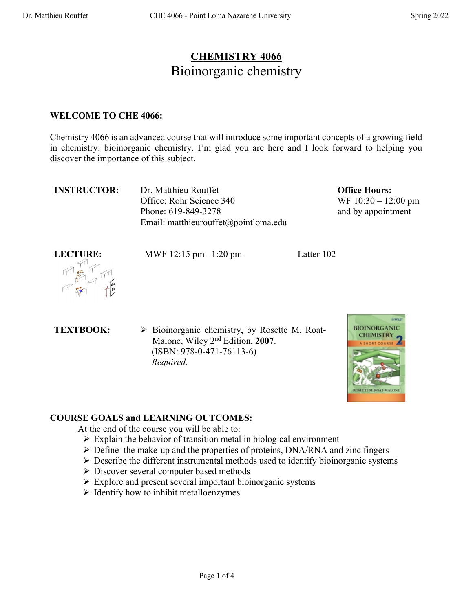# **CHEMISTRY 4066** Bioinorganic chemistry

#### **WELCOME TO CHE 4066:**

Chemistry 4066 is an advanced course that will introduce some important concepts of a growing field in chemistry: bioinorganic chemistry. I'm glad you are here and I look forward to helping you discover the importance of this subject.

**INSTRUCTOR:** Dr. Matthieu Rouffet Office: Rohr Science 340 Phone: 619-849-3278 Email: matthieurouffet@pointloma.edu **Office Hours:**  WF 10:30 – 12:00 pm and by appointment



**LECTURE:** MWF 12:15 pm –1:20 pm Latter 102

**TEXTBOOK:**  $\triangleright$  **Bioinorganic chemistry**, by Rosette M. Roat-Malone, Wiley 2nd Edition, **2007**. (ISBN: 978-0-471-76113-6)  *Required.*



## **COURSE GOALS and LEARNING OUTCOMES:**

At the end of the course you will be able to:

- $\triangleright$  Explain the behavior of transition metal in biological environment
- $\triangleright$  Define the make-up and the properties of proteins, DNA/RNA and zinc fingers
- $\triangleright$  Describe the different instrumental methods used to identify bioinorganic systems
- Ø Discover several computer based methods
- $\triangleright$  Explore and present several important bioinorganic systems
- $\triangleright$  Identify how to inhibit metalloenzymes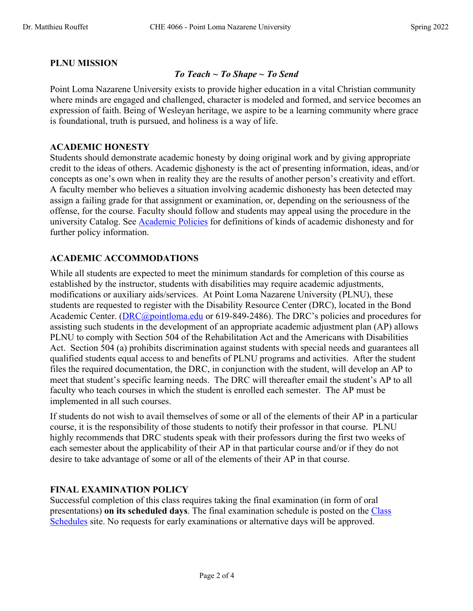## **PLNU MISSION**

### *To Teach ~ To Shape ~ To Send*

Point Loma Nazarene University exists to provide higher education in a vital Christian community where minds are engaged and challenged, character is modeled and formed, and service becomes an expression of faith. Being of Wesleyan heritage, we aspire to be a learning community where grace is foundational, truth is pursued, and holiness is a way of life.

#### **ACADEMIC HONESTY**

Students should demonstrate academic honesty by doing original work and by giving appropriate credit to the ideas of others. Academic dishonesty is the act of presenting information, ideas, and/or concepts as one's own when in reality they are the results of another person's creativity and effort. A faculty member who believes a situation involving academic dishonesty has been detected may assign a failing grade for that assignment or examination, or, depending on the seriousness of the offense, for the course. Faculty should follow and students may appeal using the procedure in the university Catalog. See Academic Policies for definitions of kinds of academic dishonesty and for further policy information.

### **ACADEMIC ACCOMMODATIONS**

While all students are expected to meet the minimum standards for completion of this course as established by the instructor, students with disabilities may require academic adjustments, modifications or auxiliary aids/services. At Point Loma Nazarene University (PLNU), these students are requested to register with the Disability Resource Center (DRC), located in the Bond Academic Center. (DRC@pointloma.edu or 619-849-2486). The DRC's policies and procedures for assisting such students in the development of an appropriate academic adjustment plan (AP) allows PLNU to comply with Section 504 of the Rehabilitation Act and the Americans with Disabilities Act. Section 504 (a) prohibits discrimination against students with special needs and guarantees all qualified students equal access to and benefits of PLNU programs and activities. After the student files the required documentation, the DRC, in conjunction with the student, will develop an AP to meet that student's specific learning needs. The DRC will thereafter email the student's AP to all faculty who teach courses in which the student is enrolled each semester. The AP must be implemented in all such courses.

If students do not wish to avail themselves of some or all of the elements of their AP in a particular course, it is the responsibility of those students to notify their professor in that course. PLNU highly recommends that DRC students speak with their professors during the first two weeks of each semester about the applicability of their AP in that particular course and/or if they do not desire to take advantage of some or all of the elements of their AP in that course.

### **FINAL EXAMINATION POLICY**

Successful completion of this class requires taking the final examination (in form of oral presentations) **on its scheduled days**. The final examination schedule is posted on the Class Schedules site. No requests for early examinations or alternative days will be approved.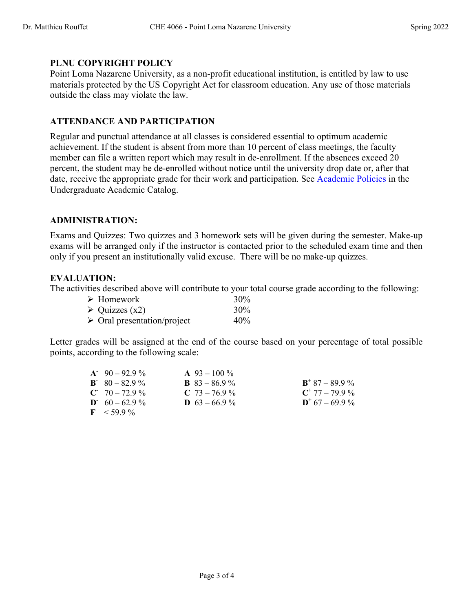### **PLNU COPYRIGHT POLICY**

Point Loma Nazarene University, as a non-profit educational institution, is entitled by law to use materials protected by the US Copyright Act for classroom education. Any use of those materials outside the class may violate the law.

#### **ATTENDANCE AND PARTICIPATION**

Regular and punctual attendance at all classes is considered essential to optimum academic achievement. If the student is absent from more than 10 percent of class meetings, the faculty member can file a written report which may result in de-enrollment. If the absences exceed 20 percent, the student may be de-enrolled without notice until the university drop date or, after that date, receive the appropriate grade for their work and participation. See Academic Policies in the Undergraduate Academic Catalog.

#### **ADMINISTRATION:**

Exams and Quizzes: Two quizzes and 3 homework sets will be given during the semester. Make-up exams will be arranged only if the instructor is contacted prior to the scheduled exam time and then only if you present an institutionally valid excuse. There will be no make-up quizzes.

#### **EVALUATION:**

The activities described above will contribute to your total course grade according to the following:

| $\triangleright$ Homework                  | 30% |
|--------------------------------------------|-----|
| $\triangleright$ Quizzes (x2)              | 30% |
| $\triangleright$ Oral presentation/project | 40% |

Letter grades will be assigned at the end of the course based on your percentage of total possible points, according to the following scale:

| $A = 90 - 92.9\%$  | $\mathbf{A}$ 93 – 100 % |                            |
|--------------------|-------------------------|----------------------------|
| $B = 80 - 82.9 \%$ | <b>B</b> $83 - 86.9\%$  | $\mathbf{B}^+$ 87 – 89.9 % |
| $C = 70 - 72.9 \%$ | $C$ 73 – 76.9 %         | $C^+$ 77 - 79.9 %          |
| $D = 60 - 62.9 \%$ | <b>D</b> $63 - 66.9\%$  | $D^+$ 67 – 69.9 %          |
| $F \le 59.9\%$     |                         |                            |